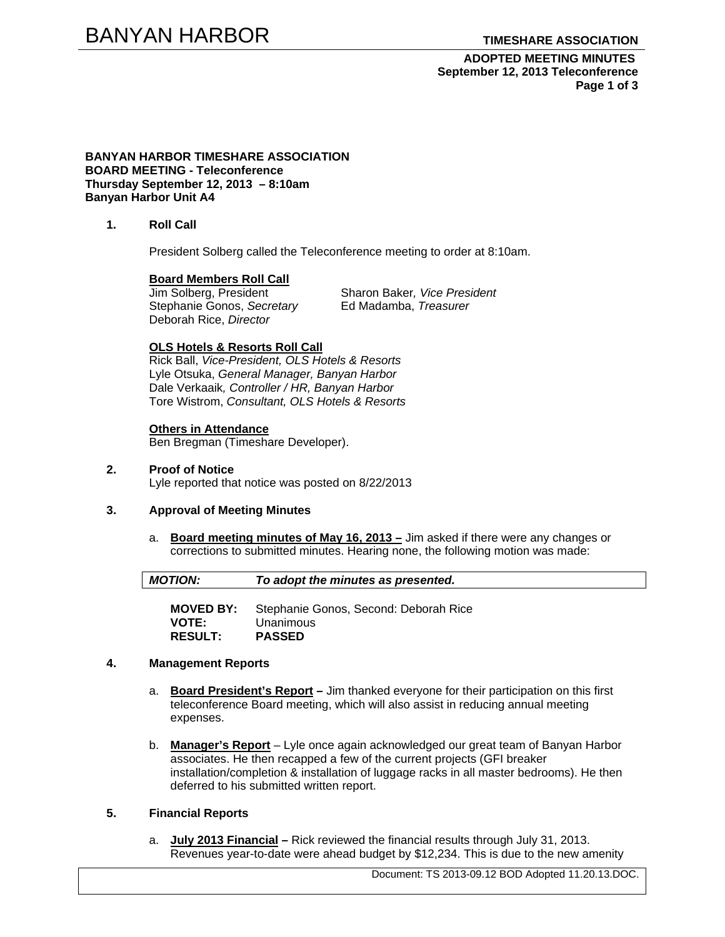**ADOPTED MEETING MINUTES September 12, 2013 Teleconference Page 1 of 3** 

**BANYAN HARBOR TIMESHARE ASSOCIATION BOARD MEETING - Teleconference Thursday September 12, 2013 – 8:10am Banyan Harbor Unit A4** 

**1. Roll Call** 

President Solberg called the Teleconference meeting to order at 8:10am.

# **Board Members Roll Call**<br>Jim Solberg, President

Stephanie Gonos, *Secretary* Ed Madamba, *Treasurer* Deborah Rice, *Director* 

Sharon Baker, Vice President

#### **OLS Hotels & Resorts Roll Call**

Rick Ball, *Vice-President, OLS Hotels & Resorts* Lyle Otsuka, *General Manager, Banyan Harbor*  Dale Verkaaik*, Controller / HR, Banyan Harbor*  Tore Wistrom, *Consultant, OLS Hotels & Resorts* 

#### **Others in Attendance**

Ben Bregman (Timeshare Developer).

**2. Proof of Notice**  Lyle reported that notice was posted on 8/22/2013

## **3. Approval of Meeting Minutes**

a. **Board meeting minutes of May 16, 2013 –** Jim asked if there were any changes or corrections to submitted minutes. Hearing none, the following motion was made:

*MOTION: To adopt the minutes as presented.* 

**MOVED BY:** Stephanie Gonos, Second: Deborah Rice **VOTE:** Unanimous **RESULT: PASSED** 

# **4. Management Reports**

- a. **Board President's Report** Jim thanked everyone for their participation on this first teleconference Board meeting, which will also assist in reducing annual meeting expenses.
- b. **Manager's Report** Lyle once again acknowledged our great team of Banyan Harbor associates. He then recapped a few of the current projects (GFI breaker installation/completion & installation of luggage racks in all master bedrooms). He then deferred to his submitted written report.

# **5. Financial Reports**

a. **July 2013 Financial –** Rick reviewed the financial results through July 31, 2013. Revenues year-to-date were ahead budget by \$12,234. This is due to the new amenity

Document: TS 2013-09.12 BOD Adopted 11.20.13.DOC.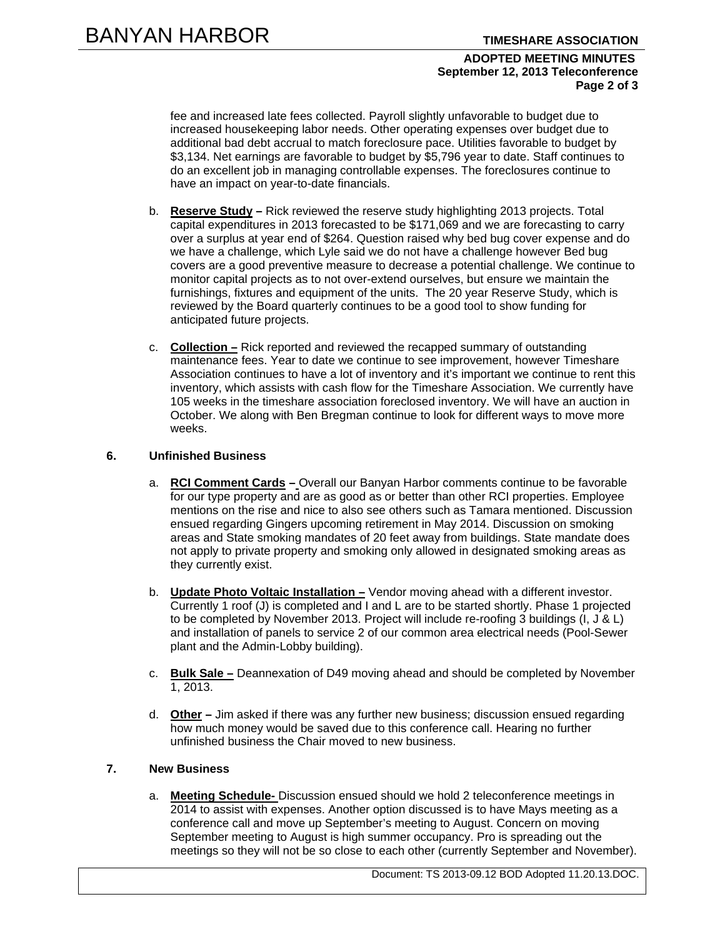## **ADOPTED MEETING MINUTES September 12, 2013 Teleconference Page 2 of 3**

fee and increased late fees collected. Payroll slightly unfavorable to budget due to increased housekeeping labor needs. Other operating expenses over budget due to additional bad debt accrual to match foreclosure pace. Utilities favorable to budget by \$3,134. Net earnings are favorable to budget by \$5,796 year to date. Staff continues to do an excellent job in managing controllable expenses. The foreclosures continue to have an impact on year-to-date financials.

- b. **Reserve Study –** Rick reviewed the reserve study highlighting 2013 projects. Total capital expenditures in 2013 forecasted to be \$171,069 and we are forecasting to carry over a surplus at year end of \$264. Question raised why bed bug cover expense and do we have a challenge, which Lyle said we do not have a challenge however Bed bug covers are a good preventive measure to decrease a potential challenge. We continue to monitor capital projects as to not over-extend ourselves, but ensure we maintain the furnishings, fixtures and equipment of the units. The 20 year Reserve Study, which is reviewed by the Board quarterly continues to be a good tool to show funding for anticipated future projects.
- c. **Collection –** Rick reported and reviewed the recapped summary of outstanding maintenance fees. Year to date we continue to see improvement, however Timeshare Association continues to have a lot of inventory and it's important we continue to rent this inventory, which assists with cash flow for the Timeshare Association. We currently have 105 weeks in the timeshare association foreclosed inventory. We will have an auction in October. We along with Ben Bregman continue to look for different ways to move more weeks.

# **6. Unfinished Business**

- a. **RCI Comment Cards** Overall our Banyan Harbor comments continue to be favorable for our type property and are as good as or better than other RCI properties. Employee mentions on the rise and nice to also see others such as Tamara mentioned. Discussion ensued regarding Gingers upcoming retirement in May 2014. Discussion on smoking areas and State smoking mandates of 20 feet away from buildings. State mandate does not apply to private property and smoking only allowed in designated smoking areas as they currently exist.
- b. **Update Photo Voltaic Installation –** Vendor moving ahead with a different investor. Currently 1 roof (J) is completed and I and L are to be started shortly. Phase 1 projected to be completed by November 2013. Project will include re-roofing 3 buildings (I, J & L) and installation of panels to service 2 of our common area electrical needs (Pool-Sewer plant and the Admin-Lobby building).
- c. **Bulk Sale –** Deannexation of D49 moving ahead and should be completed by November 1, 2013.
- d. **Other** Jim asked if there was any further new business; discussion ensued regarding how much money would be saved due to this conference call. Hearing no further unfinished business the Chair moved to new business.

# **7. New Business**

a. **Meeting Schedule-** Discussion ensued should we hold 2 teleconference meetings in 2014 to assist with expenses. Another option discussed is to have Mays meeting as a conference call and move up September's meeting to August. Concern on moving September meeting to August is high summer occupancy. Pro is spreading out the meetings so they will not be so close to each other (currently September and November).

Document: TS 2013-09.12 BOD Adopted 11.20.13.DOC.